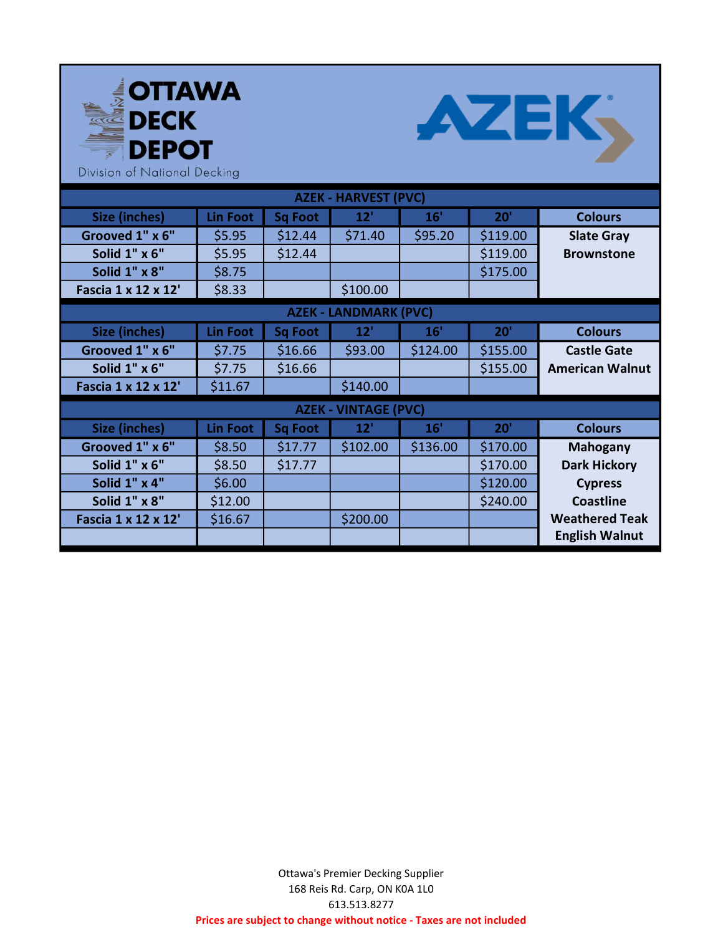



Division of National Decking

| <b>AZEK - HARVEST (PVC)</b>  |                 |                |          |          |          |                        |  |
|------------------------------|-----------------|----------------|----------|----------|----------|------------------------|--|
| <b>Size (inches)</b>         | <b>Lin Foot</b> | <b>Sq Foot</b> | 12'      | 16'      | 20'      | <b>Colours</b>         |  |
| Grooved 1" x 6"              | \$5.95          | \$12.44        | \$71.40  | \$95.20  | \$119.00 | <b>Slate Gray</b>      |  |
| Solid 1" x 6"                | \$5.95          | \$12.44        |          |          | \$119.00 | <b>Brownstone</b>      |  |
| Solid 1" x 8"                | \$8.75          |                |          |          | \$175.00 |                        |  |
| Fascia 1 x 12 x 12'          | \$8.33          |                | \$100.00 |          |          |                        |  |
| <b>AZEK - LANDMARK (PVC)</b> |                 |                |          |          |          |                        |  |
| <b>Size (inches)</b>         | <b>Lin Foot</b> | <b>Sq Foot</b> | 12'      | 16'      | 20'      | <b>Colours</b>         |  |
| Grooved 1" x 6"              | \$7.75          | \$16.66        | \$93.00  | \$124.00 | \$155.00 | <b>Castle Gate</b>     |  |
| Solid 1" x 6"                | \$7.75          | \$16.66        |          |          | \$155.00 | <b>American Walnut</b> |  |
| Fascia 1 x 12 x 12'          | \$11.67         |                | \$140.00 |          |          |                        |  |
| <b>AZEK - VINTAGE (PVC)</b>  |                 |                |          |          |          |                        |  |
| Size (inches)                | Lin Foot        | <b>Sq Foot</b> | 12'      | 16'      | 20'      | <b>Colours</b>         |  |
| Grooved 1" x 6"              | \$8.50          | \$17.77        | \$102.00 | \$136.00 | \$170.00 | <b>Mahogany</b>        |  |
| Solid 1" x 6"                | \$8.50          | \$17.77        |          |          | \$170.00 | <b>Dark Hickory</b>    |  |
| Solid 1" x 4"                | \$6.00          |                |          |          | \$120.00 | <b>Cypress</b>         |  |
| Solid 1" x 8"                | \$12.00         |                |          |          | \$240.00 | <b>Coastline</b>       |  |
| Fascia 1 x 12 x 12'          | \$16.67         |                | \$200.00 |          |          | <b>Weathered Teak</b>  |  |
|                              |                 |                |          |          |          | <b>English Walnut</b>  |  |